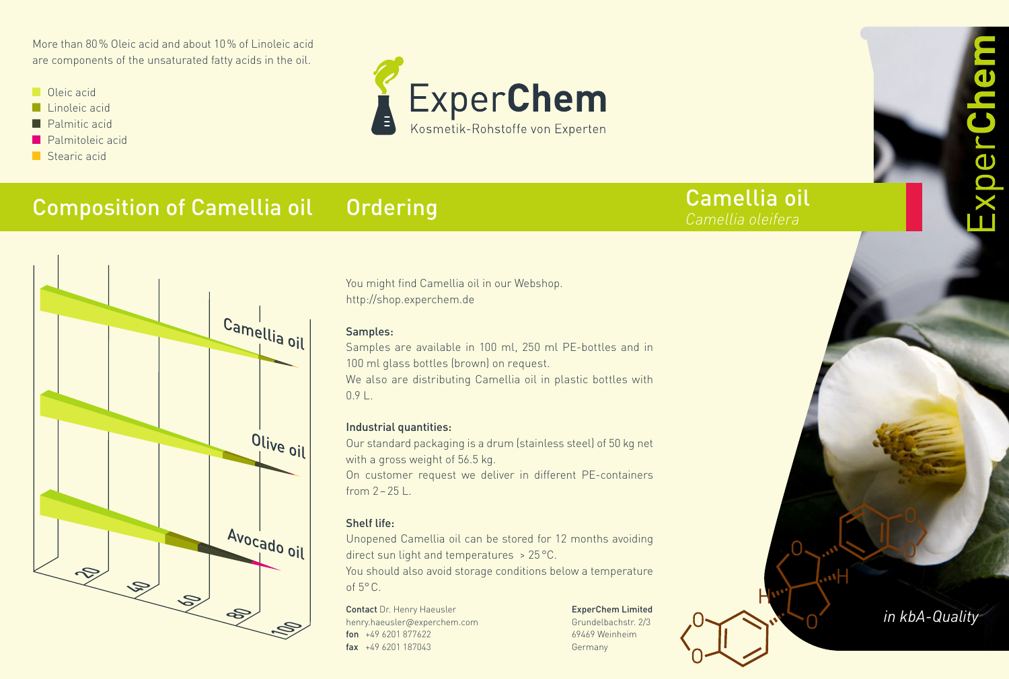More than 80% Oleic acid and about 10% of Linoleic acid are components of the unsaturated fatty acids in the oil.

- $\Box$  Oleic acid
- $\blacksquare$  Linoleic acid
- $\blacksquare$  Palmitic acid
- $\blacksquare$  Palmitoleic acid
- $\blacksquare$  Stearic acid



#### Composition of Camellia oil **Ordering**



You might find Camellia oil in our Webshop. http://shop.experchem.de

## Samples:

Samples are available in 100 ml, 250 ml PE-bottles and in 100 ml glass bottles (brown) on request. We also are distributing Camellia oil in plastic bottles with

 $0.91$ 

## Industrial quantities:

Our standard packaging is a drum (stainless steel) of 50 kg net with a gross weight of 56.5 kg. On customer request we deliver in different PE-containers from  $2-25$  L.

## Shelf life:

Unopened Camellia oil can be stored for 12 months avoiding direct sun light and temperatures > 25°C.

You should also avoid storage conditions below a temperature of  $5^{\circ}$ C.

Contact Dr. Henry Haeusler henry.haeusler@experchem.com fon +49 6201 877622 fax +49 6201 187043

ExperChem Limited Grundelbachstr. 2/3 69469 Weinheim Germany

Camellia oil *Camellia oleifera*

*in kbA-Quality*

 $\overline{\mathbf{d}}$ 

 $\overline{\mathbf{b}}$